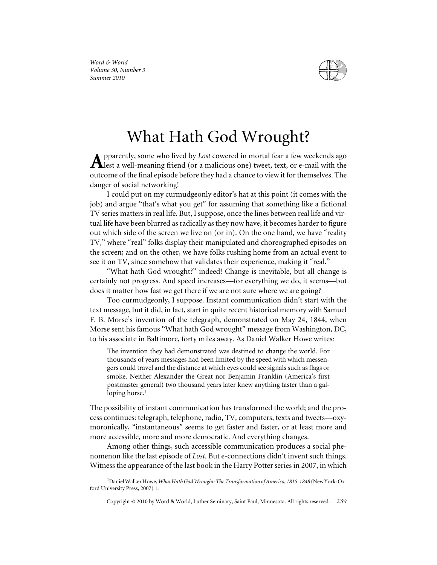

*Word & World Volume 30, Number 3 Summer 2010*

## What Hath God Wrought?

pparently, some who lived by *Lost* cowered in mortal fear a few weekends ago  $\mathbf A$ lest a well-meaning friend (or a malicious one) tweet, text, or e-mail with the outcome of the final episode before they had a chance to view it for themselves. The danger of social networking!

I could put on my curmudgeonly editor's hat at this point (it comes with the job) and argue "that's what you get" for assuming that something like a fictional TV series matters in real life. But, I suppose, once the lines between real life and virtual life have been blurred as radically as they now have, it becomes harder to figure out which side of the screen we live on (or in). On the one hand, we have "reality TV," where "real" folks display their manipulated and choreographed episodes on the screen; and on the other, we have folks rushing home from an actual event to see it on TV, since somehow that validates their experience, making it "real."

"What hath God wrought?" indeed! Change is inevitable, but all change is certainly not progress. And speed increases—for everything we do, it seems—but does it matter how fast we get there if we are not sure where we are going?

Too curmudgeonly, I suppose. Instant communication didn't start with the text message, but it did, in fact, start in quite recent historical memory with Samuel F. B. Morse's invention of the telegraph, demonstrated on May 24, 1844, when Morse sent his famous "What hath God wrought" message from Washington, DC, to his associate in Baltimore, forty miles away. As Daniel Walker Howe writes:

The invention they had demonstrated was destined to change the world. For thousands of years messages had been limited by the speed with which messengers could travel and the distance at which eyes could see signals such as flags or smoke. Neither Alexander the Great nor Benjamin Franklin (America's first postmaster general) two thousand years later knew anything faster than a galloping horse. $<sup>1</sup>$ </sup>

The possibility of instant communication has transformed the world; and the process continues: telegraph, telephone, radio, TV, computers, texts and tweets—oxymoronically, "instantaneous" seems to get faster and faster, or at least more and more accessible, more and more democratic. And everything changes.

Among other things, such accessible communication produces a social phenomenon like the last episode of *Lost.* But e-connections didn't invent such things. Witness the appearance of the last book in the Harry Potter series in 2007, in which

Copyright © 2010 by Word & World, Luther Seminary, Saint Paul, Minnesota. All rights reserved. 239

<sup>&</sup>lt;sup>1</sup> Daniel Walker Howe, What Hath God Wrought: The Transformation of America, 1815-1848 (New York: Oxford University Press, 2007) 1.